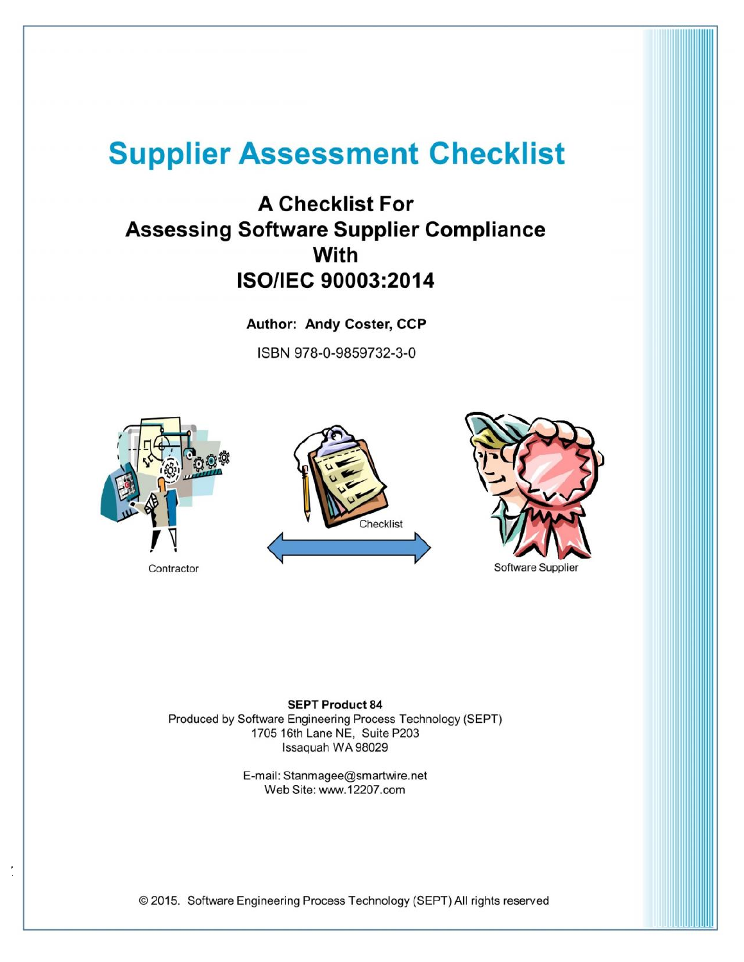# **Supplier Assessment Checklist**

# **A Checklist For Assessing Software Supplier Compliance With ISO/IEC 90003:2014**

Author: Andy Coster, CCP ISBN 978-0-9859732-3-0







**SEPT Product 84** Produced by Software Engineering Process Technology (SEPT) 1705 16th Lane NE, Suite P203 Issaquah WA 98029

> E-mail: Stanmagee@smartwire.net Web Site: www.12207.com

© 2015. Software Engineering Process Technology (SEPT) All rights reserved

 $7.23$  and  $2.32$  and  $2.32$  and  $2.32$  and  $2.32$  and  $2.32$  and  $2.32$  and  $2.32$  and  $2.32$  and  $2.32$  and  $2.32$  and  $2.32$  and  $2.32$  and  $2.32$  and  $2.32$  and  $2.32$  and  $2.32$  and  $2.32$  and  $2.32$  and  $2.32$  and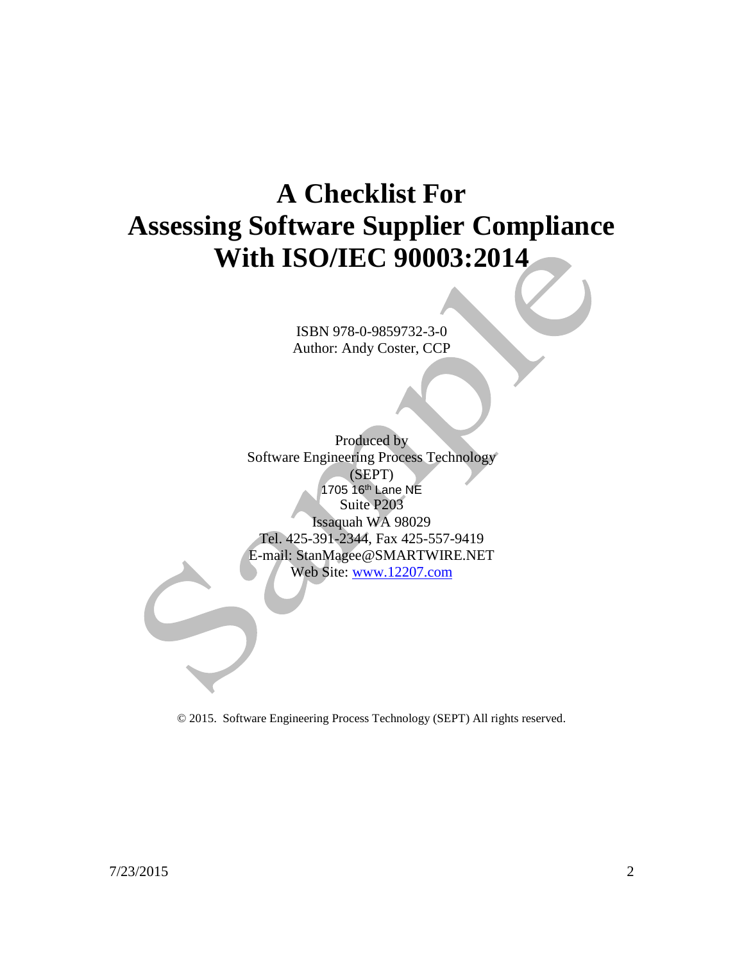# **A Checklist For Assessing Software Supplier Compliance With ISO/IEC 90003:2014**

ISBN 978-0-9859732-3-0 Author: Andy Coster, CCP

Produced by Software Engineering Process Technology (SEPT) 1705 16th Lane NE Suite P203 Issaquah WA 98029 Tel. 425-391-2344, Fax 425-557-9419 E-mail: StanMagee@SMARTWIRE.NET Web Site: www.12207.com

© 2015. Software Engineering Process Technology (SEPT) All rights reserved.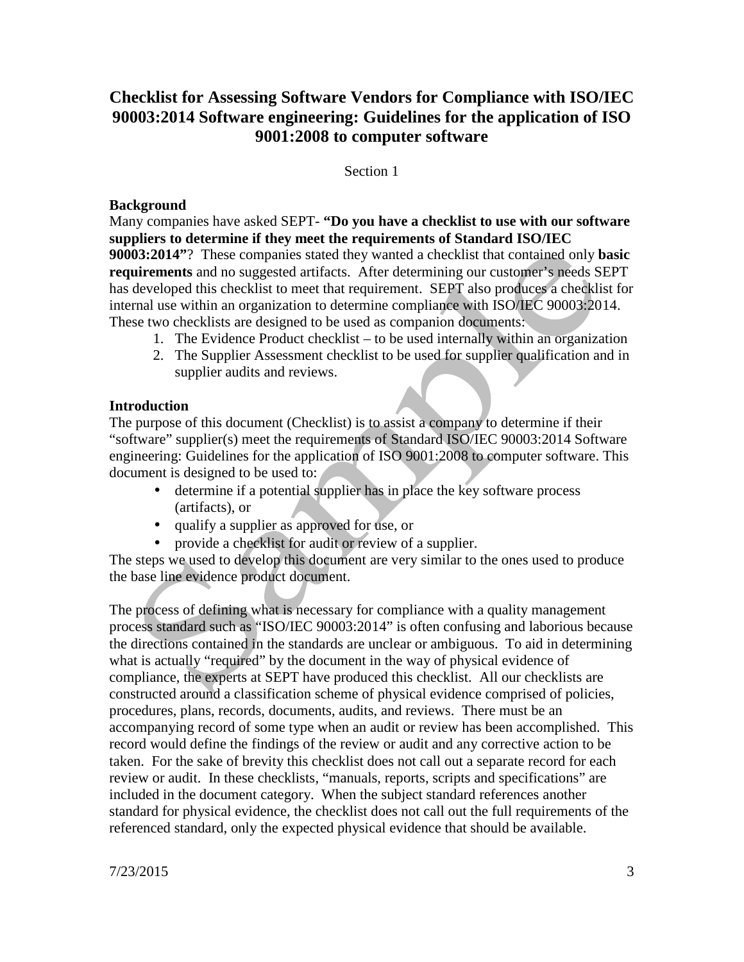### **Checklist for Assessing Software Vendors for Compliance with ISO/IEC 90003:2014 Software engineering: Guidelines for the application of ISO 9001:2008 to computer software**

#### Section 1

#### **Background**

Many companies have asked SEPT- **"Do you have a checklist to use with our software suppliers to determine if they meet the requirements of Standard ISO/IEC 90003:2014"**? These companies stated they wanted a checklist that contained only **basic requirements** and no suggested artifacts. After determining our customer's needs SEPT has developed this checklist to meet that requirement. SEPT also produces a checklist for internal use within an organization to determine compliance with ISO/IEC 90003:2014. These two checklists are designed to be used as companion documents:

- 1. The Evidence Product checklist to be used internally within an organization
- 2. The Supplier Assessment checklist to be used for supplier qualification and in supplier audits and reviews.

#### **Introduction**

The purpose of this document (Checklist) is to assist a company to determine if their "software" supplier(s) meet the requirements of Standard ISO/IEC 90003:2014 Software engineering: Guidelines for the application of ISO 9001:2008 to computer software. This document is designed to be used to:

- determine if a potential supplier has in place the key software process (artifacts), or
- qualify a supplier as approved for use, or
- provide a checklist for audit or review of a supplier.

The steps we used to develop this document are very similar to the ones used to produce the base line evidence product document.

The process of defining what is necessary for compliance with a quality management process standard such as "ISO/IEC 90003:2014" is often confusing and laborious because the directions contained in the standards are unclear or ambiguous. To aid in determining what is actually "required" by the document in the way of physical evidence of compliance, the experts at SEPT have produced this checklist. All our checklists are constructed around a classification scheme of physical evidence comprised of policies, procedures, plans, records, documents, audits, and reviews. There must be an accompanying record of some type when an audit or review has been accomplished. This record would define the findings of the review or audit and any corrective action to be taken. For the sake of brevity this checklist does not call out a separate record for each review or audit. In these checklists, "manuals, reports, scripts and specifications" are included in the document category. When the subject standard references another standard for physical evidence, the checklist does not call out the full requirements of the referenced standard, only the expected physical evidence that should be available.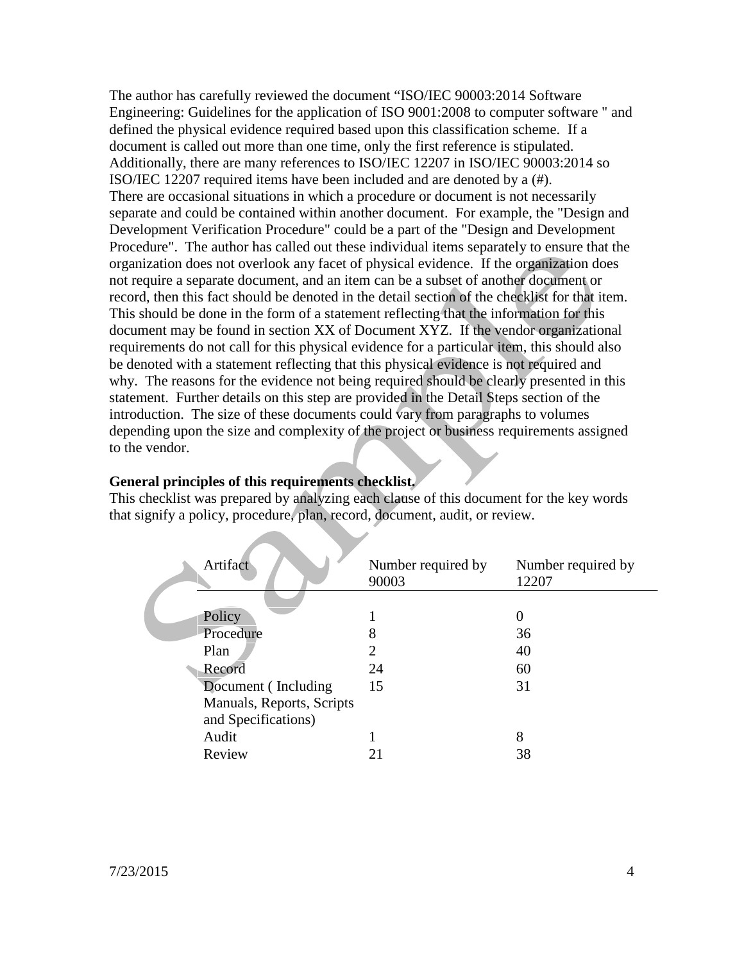The author has carefully reviewed the document "ISO/IEC 90003:2014 Software Engineering: Guidelines for the application of ISO 9001:2008 to computer software " and defined the physical evidence required based upon this classification scheme. If a document is called out more than one time, only the first reference is stipulated. Additionally, there are many references to ISO/IEC 12207 in ISO/IEC 90003:2014 so ISO/IEC 12207 required items have been included and are denoted by a (#). There are occasional situations in which a procedure or document is not necessarily separate and could be contained within another document. For example, the "Design and Development Verification Procedure" could be a part of the "Design and Development Procedure". The author has called out these individual items separately to ensure that the organization does not overlook any facet of physical evidence. If the organization does not require a separate document, and an item can be a subset of another document or record, then this fact should be denoted in the detail section of the checklist for that item. This should be done in the form of a statement reflecting that the information for this document may be found in section XX of Document XYZ. If the vendor organizational requirements do not call for this physical evidence for a particular item, this should also be denoted with a statement reflecting that this physical evidence is not required and why. The reasons for the evidence not being required should be clearly presented in this statement. Further details on this step are provided in the Detail Steps section of the introduction. The size of these documents could vary from paragraphs to volumes depending upon the size and complexity of the project or business requirements assigned to the vendor.

#### **General principles of this requirements checklist.**

This checklist was prepared by analyzing each clause of this document for the key words that signify a policy, procedure, plan, record, document, audit, or review.

| Artifact                                         | Number required by<br>90003 | Number required by<br>12207 |
|--------------------------------------------------|-----------------------------|-----------------------------|
| Policy                                           |                             | $\theta$                    |
| Procedure                                        | 8                           | 36                          |
| Plan                                             |                             | 40                          |
| Record                                           | 24                          | 60                          |
| Document (Including                              | 15                          | 31                          |
| Manuals, Reports, Scripts<br>and Specifications) |                             |                             |
| Audit                                            |                             | 8                           |
| Review                                           | 21                          | 38                          |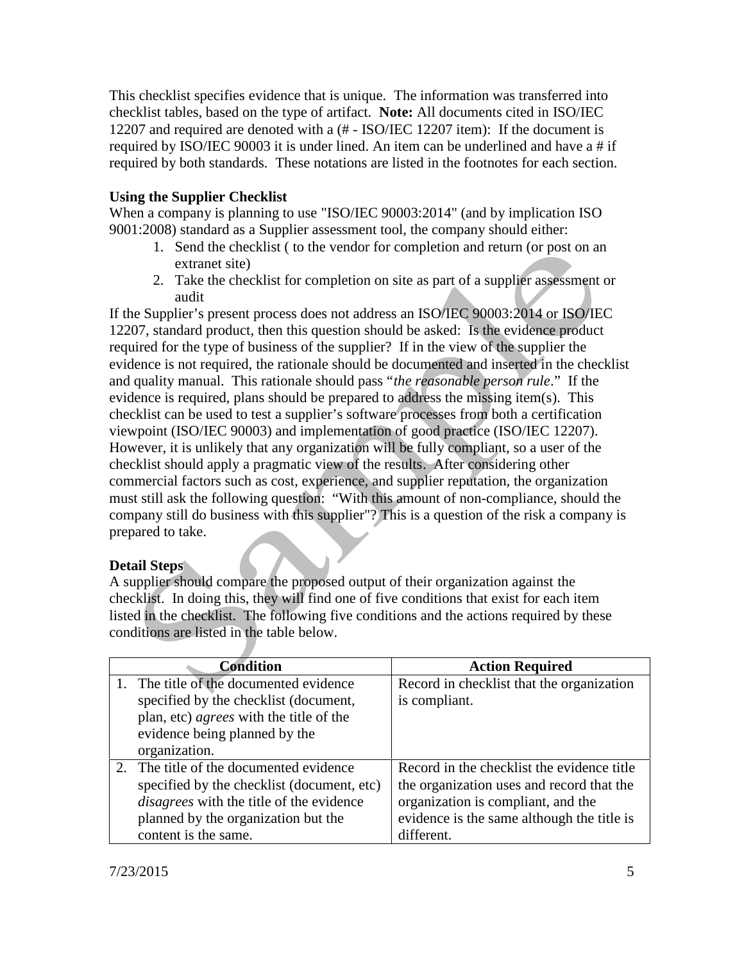This checklist specifies evidence that is unique. The information was transferred into checklist tables, based on the type of artifact. **Note:** All documents cited in ISO/IEC 12207 and required are denoted with a (# - ISO/IEC 12207 item): If the document is required by ISO/IEC 90003 it is under lined. An item can be underlined and have a # if required by both standards. These notations are listed in the footnotes for each section.

#### **Using the Supplier Checklist**

When a company is planning to use "ISO/IEC 90003:2014" (and by implication ISO 9001:2008) standard as a Supplier assessment tool, the company should either:

- 1. Send the checklist ( to the vendor for completion and return (or post on an extranet site)
- 2. Take the checklist for completion on site as part of a supplier assessment or audit

If the Supplier's present process does not address an ISO/IEC 90003:2014 or ISO/IEC 12207, standard product, then this question should be asked: Is the evidence product required for the type of business of the supplier? If in the view of the supplier the evidence is not required, the rationale should be documented and inserted in the checklist and quality manual. This rationale should pass "*the reasonable person rule*." If the evidence is required, plans should be prepared to address the missing item(s). This checklist can be used to test a supplier's software processes from both a certification viewpoint (ISO/IEC 90003) and implementation of good practice (ISO/IEC 12207). However, it is unlikely that any organization will be fully compliant, so a user of the checklist should apply a pragmatic view of the results. After considering other commercial factors such as cost, experience, and supplier reputation, the organization must still ask the following question: "With this amount of non-compliance, should the company still do business with this supplier"? This is a question of the risk a company is prepared to take.

#### **Detail Steps**

A supplier should compare the proposed output of their organization against the checklist. In doing this, they will find one of five conditions that exist for each item listed in the checklist. The following five conditions and the actions required by these conditions are listed in the table below.

| <b>Condition</b>                                | <b>Action Required</b>                     |
|-------------------------------------------------|--------------------------------------------|
| 1. The title of the documented evidence         | Record in checklist that the organization  |
| specified by the checklist (document,           | is compliant.                              |
| plan, etc) agrees with the title of the         |                                            |
| evidence being planned by the                   |                                            |
| organization.                                   |                                            |
| 2. The title of the documented evidence         | Record in the checklist the evidence title |
| specified by the checklist (document, etc)      | the organization uses and record that the  |
| <i>disagrees</i> with the title of the evidence | organization is compliant, and the         |
| planned by the organization but the             | evidence is the same although the title is |
| content is the same.                            | different.                                 |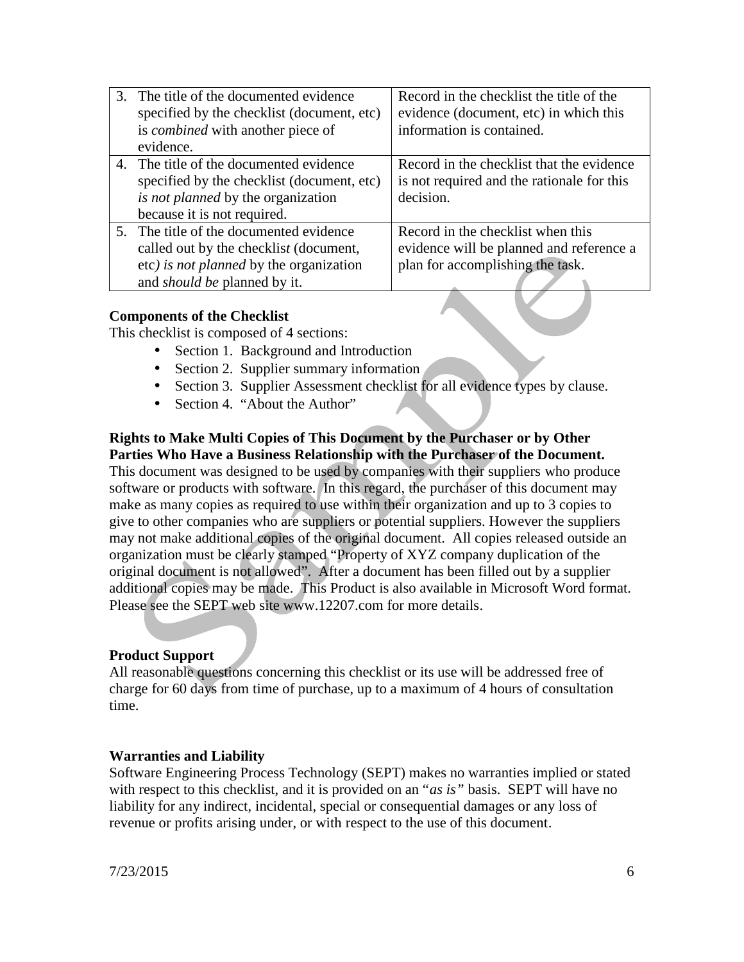| 3. The title of the documented evidence<br>specified by the checklist (document, etc)                                                                               | Record in the checklist the title of the<br>evidence (document, etc) in which this                                |
|---------------------------------------------------------------------------------------------------------------------------------------------------------------------|-------------------------------------------------------------------------------------------------------------------|
| is <i>combined</i> with another piece of<br>evidence.                                                                                                               | information is contained.                                                                                         |
| 4. The title of the documented evidence<br>specified by the checklist (document, etc)<br><i>is not planned</i> by the organization<br>because it is not required.   | Record in the checklist that the evidence<br>is not required and the rationale for this<br>decision.              |
| 5. The title of the documented evidence<br>called out by the checklist (document,<br>etc) is not planned by the organization<br>and <i>should be</i> planned by it. | Record in the checklist when this<br>evidence will be planned and reference a<br>plan for accomplishing the task. |

#### **Components of the Checklist**

This checklist is composed of 4 sections:

- Section 1. Background and Introduction
- Section 2. Supplier summary information
- Section 3. Supplier Assessment checklist for all evidence types by clause.
- Section 4. "About the Author"

#### **Rights to Make Multi Copies of This Document by the Purchaser or by Other Parties Who Have a Business Relationship with the Purchaser of the Document.**

This document was designed to be used by companies with their suppliers who produce software or products with software. In this regard, the purchaser of this document may make as many copies as required to use within their organization and up to 3 copies to give to other companies who are suppliers or potential suppliers. However the suppliers may not make additional copies of the original document. All copies released outside an organization must be clearly stamped "Property of XYZ company duplication of the original document is not allowed". After a document has been filled out by a supplier additional copies may be made. This Product is also available in Microsoft Word format. Please see the SEPT web site www.12207.com for more details.

#### **Product Support**

All reasonable questions concerning this checklist or its use will be addressed free of charge for 60 days from time of purchase, up to a maximum of 4 hours of consultation time.

#### **Warranties and Liability**

Software Engineering Process Technology (SEPT) makes no warranties implied or stated with respect to this checklist, and it is provided on an "*as is"* basis. SEPT will have no liability for any indirect, incidental, special or consequential damages or any loss of revenue or profits arising under, or with respect to the use of this document.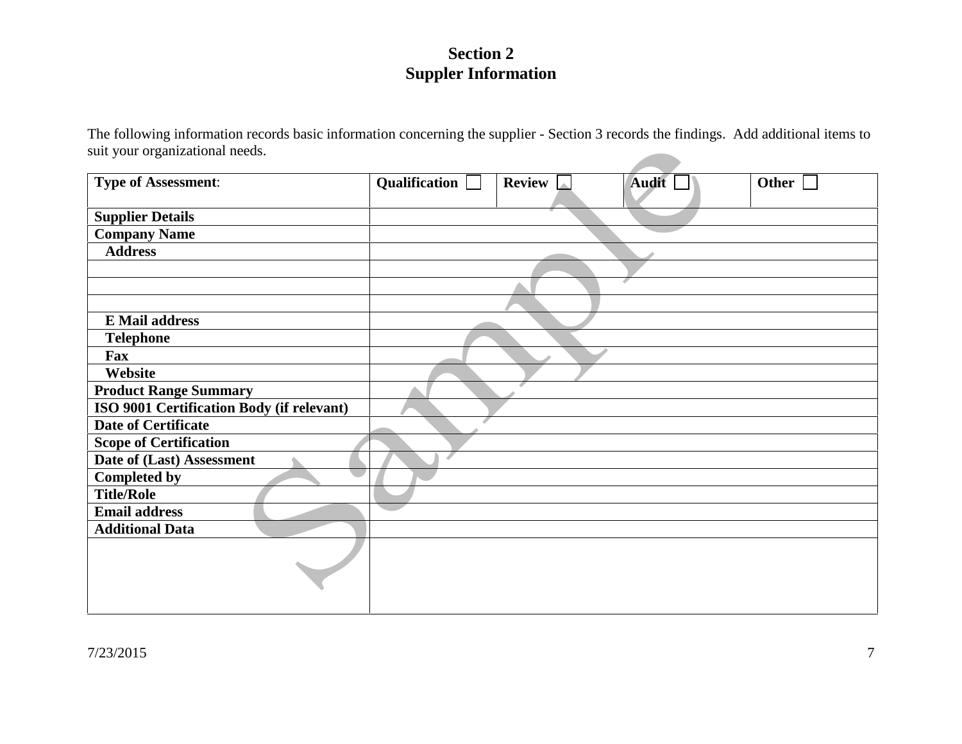# **Section 2 Suppler Information**

The following information records basic information concerning the supplier - Section 3 records the findings. Add additional items to suit your organizational needs.

| <b>Type of Assessment:</b>                | Qualification $\Box$ | <b>Review</b> | Audit | Other |
|-------------------------------------------|----------------------|---------------|-------|-------|
| <b>Supplier Details</b>                   |                      |               |       |       |
| <b>Company Name</b>                       |                      |               |       |       |
| <b>Address</b>                            |                      |               |       |       |
|                                           |                      |               |       |       |
|                                           |                      |               |       |       |
|                                           |                      |               |       |       |
| <b>E</b> Mail address                     |                      |               |       |       |
| <b>Telephone</b>                          |                      |               |       |       |
| Fax                                       |                      |               |       |       |
| Website                                   |                      |               |       |       |
| <b>Product Range Summary</b>              |                      |               |       |       |
| ISO 9001 Certification Body (if relevant) |                      |               |       |       |
| <b>Date of Certificate</b>                |                      |               |       |       |
| <b>Scope of Certification</b>             |                      |               |       |       |
| Date of (Last) Assessment                 |                      |               |       |       |
| <b>Completed by</b>                       |                      |               |       |       |
| <b>Title/Role</b>                         |                      |               |       |       |
| <b>Email address</b>                      |                      |               |       |       |
| <b>Additional Data</b>                    |                      |               |       |       |
|                                           |                      |               |       |       |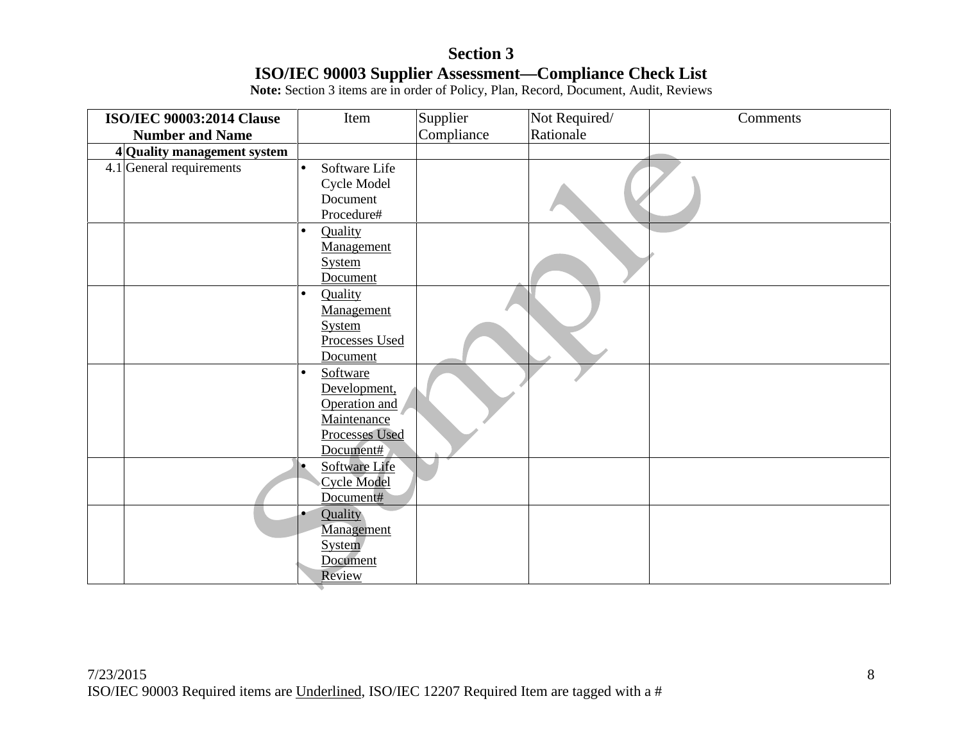# **Section 3 ISO/IEC 90003 Supplier Assessment—Compliance Check List**

**Note:** Section 3 items are in order of Policy, Plan, Record, Document, Audit, Reviews

| <b>ISO/IEC 90003:2014 Clause</b> | Item                       | Supplier   | Not Required/ | Comments |
|----------------------------------|----------------------------|------------|---------------|----------|
| <b>Number and Name</b>           |                            | Compliance | Rationale     |          |
| 4 Quality management system      |                            |            |               |          |
| $4.1$ General requirements       | Software Life<br>$\bullet$ |            |               |          |
|                                  | Cycle Model                |            |               |          |
|                                  | Document                   |            |               |          |
|                                  | Procedure#                 |            |               |          |
|                                  | Quality<br>$\bullet$       |            |               |          |
|                                  | Management                 |            |               |          |
|                                  | <b>System</b>              |            |               |          |
|                                  | Document                   |            |               |          |
|                                  | Quality<br>$\bullet$       |            |               |          |
|                                  | Management                 |            |               |          |
|                                  | <b>System</b>              |            |               |          |
|                                  | Processes Used             |            |               |          |
|                                  | Document                   |            |               |          |
|                                  | Software<br>$\bullet$      |            |               |          |
|                                  | Development,               |            |               |          |
|                                  | Operation and              |            |               |          |
|                                  | Maintenance                |            |               |          |
|                                  | <b>Processes Used</b>      |            |               |          |
|                                  | Document#                  |            |               |          |
|                                  | Software Life              |            |               |          |
|                                  | <b>Cycle Model</b>         |            |               |          |
|                                  | Document#                  |            |               |          |
|                                  | Quality                    |            |               |          |
|                                  | Management                 |            |               |          |
|                                  | System                     |            |               |          |
|                                  | Document                   |            |               |          |
|                                  | Review                     |            |               |          |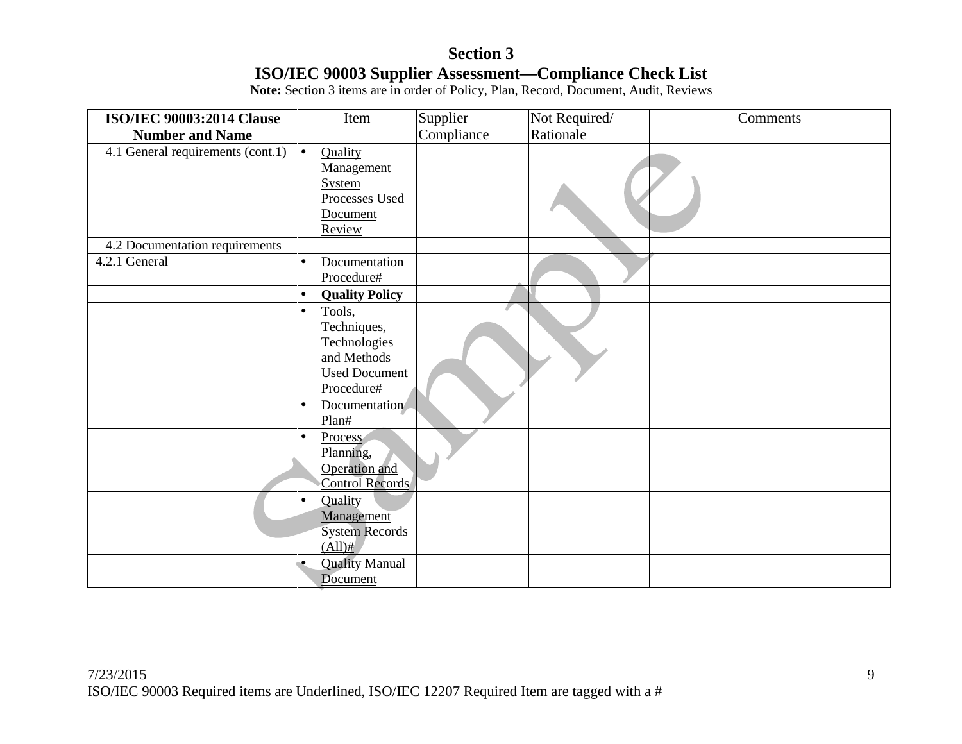# **Section 3 ISO/IEC 90003 Supplier Assessment—Compliance Check List**

**Note:** Section 3 items are in order of Policy, Plan, Record, Document, Audit, Reviews

| <b>ISO/IEC 90003:2014 Clause</b>  | Item                                                                                                    | Supplier   | Not Required/ | Comments |
|-----------------------------------|---------------------------------------------------------------------------------------------------------|------------|---------------|----------|
| <b>Number and Name</b>            |                                                                                                         | Compliance | Rationale     |          |
| 4.1 General requirements (cont.1) | Quality<br>$\bullet$<br>Management<br><b>System</b><br>Processes Used<br>Document<br>Review             |            |               |          |
| 4.2 Documentation requirements    |                                                                                                         |            |               |          |
| 4.2.1 General                     | Documentation<br>$\bullet$<br>Procedure#                                                                |            |               |          |
|                                   | <b>Quality Policy</b><br>$\bullet$                                                                      |            |               |          |
|                                   | Tools,<br>$\bullet$<br>Techniques,<br>Technologies<br>and Methods<br><b>Used Document</b><br>Procedure# |            |               |          |
|                                   | Documentation<br>$\bullet$<br>Plan#                                                                     |            |               |          |
|                                   | Process<br>$\bullet$<br>Planning,<br>Operation and<br>Control Records                                   |            |               |          |
|                                   | Quality<br>Management<br><b>System Records</b><br>$(All)$ #                                             |            |               |          |
|                                   | <b>Quality Manual</b><br>Document                                                                       |            |               |          |